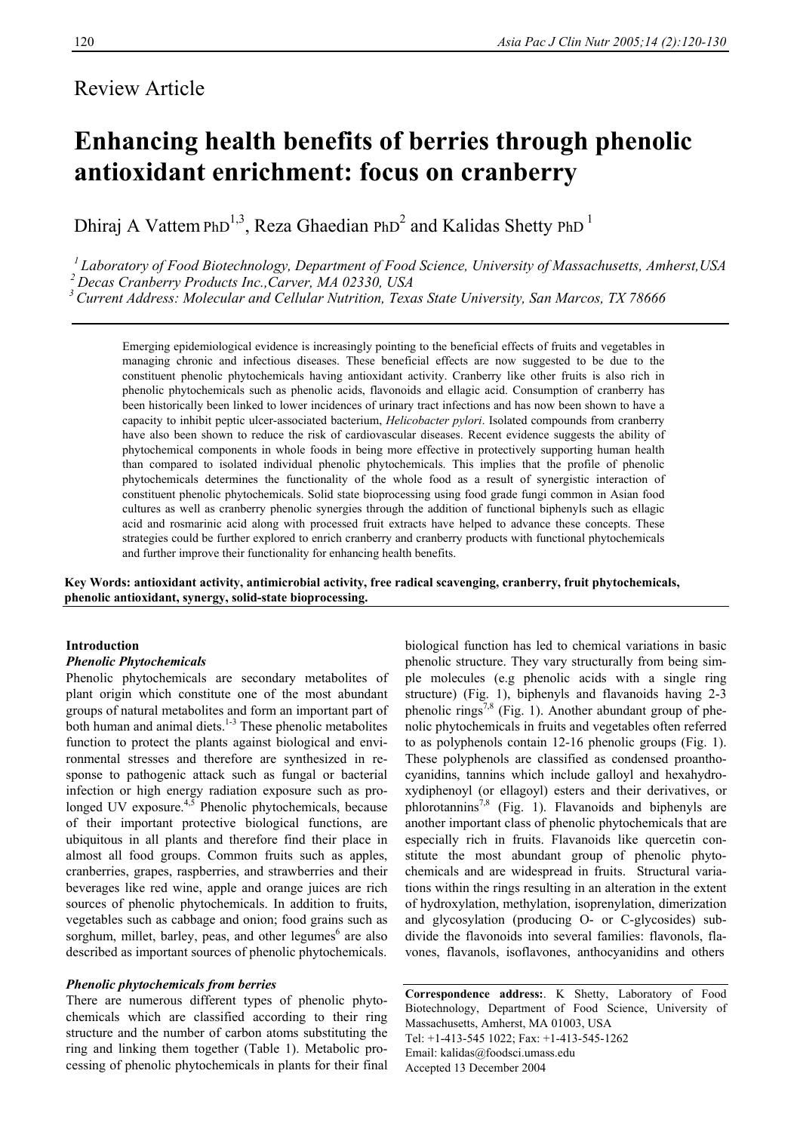# Review Article

# **Enhancing health benefits of berries through phenolic antioxidant enrichment: focus on cranberry**

Dhiraj A Vattem PhD<sup>1,3</sup>, Reza Ghaedian PhD<sup>2</sup> and Kalidas Shetty PhD<sup>1</sup>

<sup>1</sup> Laboratory of Food Biotechnology, Department of Food Science, University of Massachusetts, Amherst, USA<br><sup>2</sup> Decas Cranberry Products Inc., Carver, MA 02330, USA<br><sup>3</sup> Current Address: Molecular and Cellular Nutrition, T

Emerging epidemiological evidence is increasingly pointing to the beneficial effects of fruits and vegetables in managing chronic and infectious diseases. These beneficial effects are now suggested to be due to the constituent phenolic phytochemicals having antioxidant activity. Cranberry like other fruits is also rich in phenolic phytochemicals such as phenolic acids, flavonoids and ellagic acid. Consumption of cranberry has been historically been linked to lower incidences of urinary tract infections and has now been shown to have a capacity to inhibit peptic ulcer-associated bacterium, *Helicobacter pylori*. Isolated compounds from cranberry have also been shown to reduce the risk of cardiovascular diseases. Recent evidence suggests the ability of phytochemical components in whole foods in being more effective in protectively supporting human health than compared to isolated individual phenolic phytochemicals. This implies that the profile of phenolic phytochemicals determines the functionality of the whole food as a result of synergistic interaction of constituent phenolic phytochemicals. Solid state bioprocessing using food grade fungi common in Asian food cultures as well as cranberry phenolic synergies through the addition of functional biphenyls such as ellagic acid and rosmarinic acid along with processed fruit extracts have helped to advance these concepts. These strategies could be further explored to enrich cranberry and cranberry products with functional phytochemicals and further improve their functionality for enhancing health benefits.

**Key Words: antioxidant activity, antimicrobial activity, free radical scavenging, cranberry, fruit phytochemicals, phenolic antioxidant, synergy, solid-state bioprocessing.** 

# **Introduction**

# *Phenolic Phytochemicals*

Phenolic phytochemicals are secondary metabolites of plant origin which constitute one of the most abundant groups of natural metabolites and form an important part of both human and animal diets.<sup>1-3</sup> These phenolic metabolites function to protect the plants against biological and environmental stresses and therefore are synthesized in response to pathogenic attack such as fungal or bacterial infection or high energy radiation exposure such as prolonged UV exposure. $4,5$  Phenolic phytochemicals, because of their important protective biological functions, are ubiquitous in all plants and therefore find their place in almost all food groups. Common fruits such as apples, cranberries, grapes, raspberries, and strawberries and their beverages like red wine, apple and orange juices are rich sources of phenolic phytochemicals. In addition to fruits, vegetables such as cabbage and onion; food grains such as sorghum, millet, barley, peas, and other legumes<sup>6</sup> are also described as important sources of phenolic phytochemicals.

# *Phenolic phytochemicals from berries*

There are numerous different types of phenolic phytochemicals which are classified according to their ring structure and the number of carbon atoms substituting the ring and linking them together (Table 1). Metabolic processing of phenolic phytochemicals in plants for their final

biological function has led to chemical variations in basic phenolic structure. They vary structurally from being simple molecules (e.g phenolic acids with a single ring structure) (Fig. 1), biphenyls and flavanoids having 2-3 phenolic rings<sup>7,8</sup> (Fig. 1). Another abundant group of phenolic phytochemicals in fruits and vegetables often referred to as polyphenols contain 12-16 phenolic groups (Fig. 1). These polyphenols are classified as condensed proanthocyanidins, tannins which include galloyl and hexahydroxydiphenoyl (or ellagoyl) esters and their derivatives, or phlorotannins<sup>7,8</sup> (Fig. 1). Flavanoids and biphenyls are another important class of phenolic phytochemicals that are especially rich in fruits. Flavanoids like quercetin constitute the most abundant group of phenolic phytochemicals and are widespread in fruits. Structural variations within the rings resulting in an alteration in the extent of hydroxylation, methylation, isoprenylation, dimerization and glycosylation (producing O- or C-glycosides) subdivide the flavonoids into several families: flavonols, flavones, flavanols, isoflavones, anthocyanidins and others

**Correspondence address:**. K Shetty, Laboratory of Food Biotechnology, Department of Food Science, University of Massachusetts, Amherst, MA 01003, USA Tel: +1-413-545 1022; Fax: +1-413-545-1262 Email: kalidas@foodsci.umass.edu Accepted 13 December 2004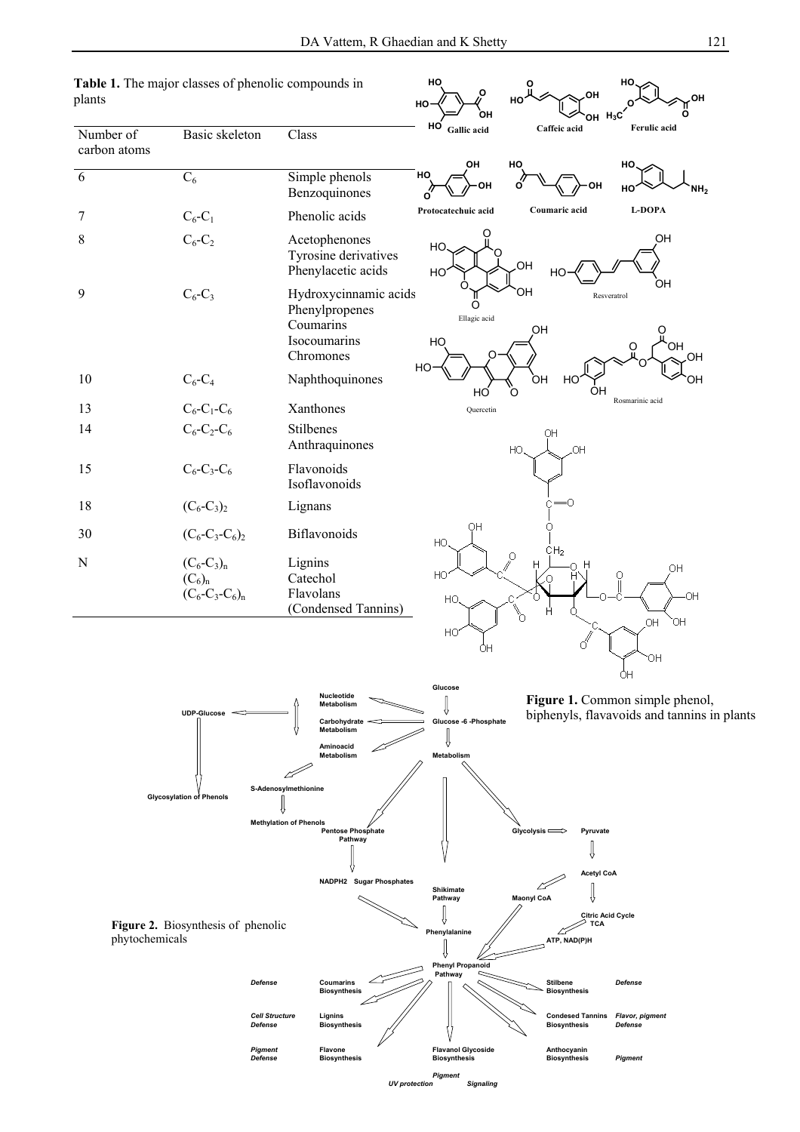

*Pigment* **Flavone Flavanol Glycoside Anthocyanin**

*Pigment UV protection* Sig

*Defense* **Biosynthesis Biosynthesis Biosynthesis** *Pigment*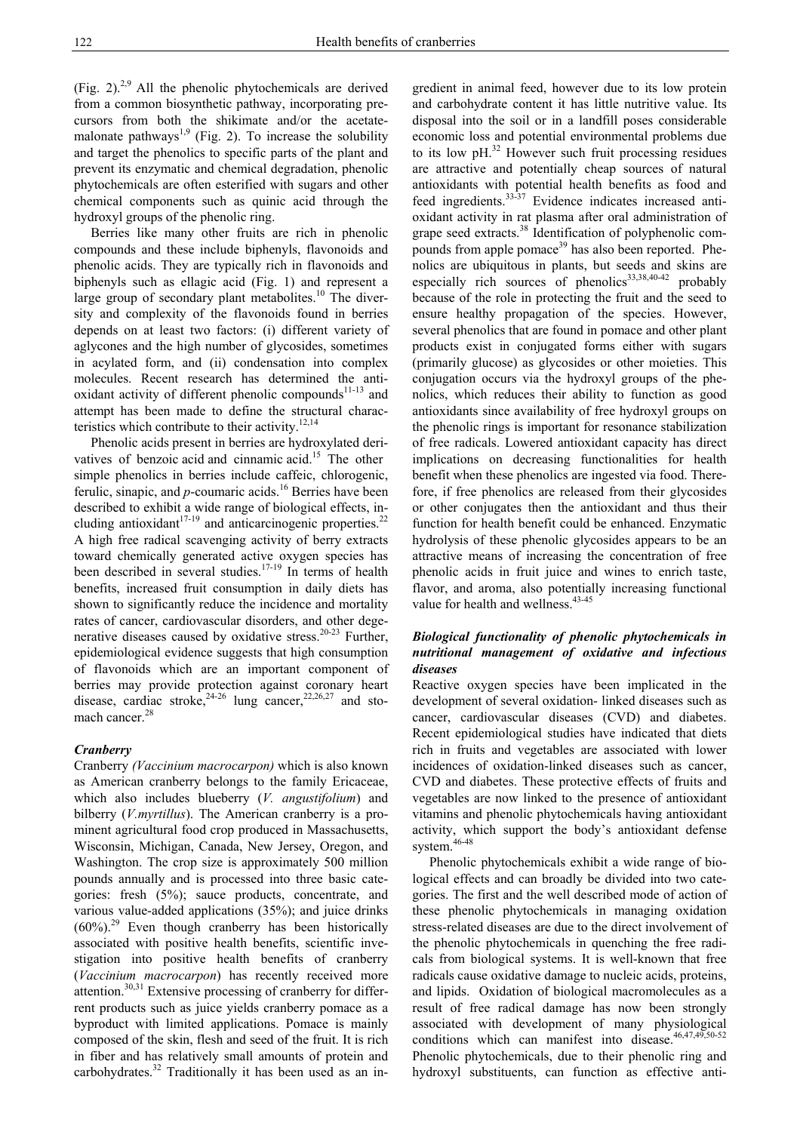(Fig. 2). $^{2,9}$  All the phenolic phytochemicals are derived from a common biosynthetic pathway, incorporating precursors from both the shikimate and/or the acetatemalonate pathways<sup>1,9</sup> (Fig. 2). To increase the solubility and target the phenolics to specific parts of the plant and prevent its enzymatic and chemical degradation, phenolic phytochemicals are often esterified with sugars and other chemical components such as quinic acid through the hydroxyl groups of the phenolic ring.

 Berries like many other fruits are rich in phenolic compounds and these include biphenyls, flavonoids and phenolic acids. They are typically rich in flavonoids and biphenyls such as ellagic acid (Fig. 1) and represent a large group of secondary plant metabolites.<sup>10</sup> The diversity and complexity of the flavonoids found in berries depends on at least two factors: (i) different variety of aglycones and the high number of glycosides, sometimes in acylated form, and (ii) condensation into complex molecules. Recent research has determined the antioxidant activity of different phenolic compounds $11-13$  and attempt has been made to define the structural characteristics which contribute to their activity. $^{12,14}$ 

 Phenolic acids present in berries are hydroxylated derivatives of benzoic acid and cinnamic acid.<sup>15</sup> The other simple phenolics in berries include caffeic, chlorogenic, ferulic, sinapic, and  $p$ -coumaric acids.<sup>16</sup> Berries have been described to exhibit a wide range of biological effects, including antioxidant<sup>17-19</sup> and anticarcinogenic properties.<sup>22</sup> A high free radical scavenging activity of berry extracts toward chemically generated active oxygen species has been described in several studies.<sup>17-19</sup> In terms of health benefits, increased fruit consumption in daily diets has shown to significantly reduce the incidence and mortality rates of cancer, cardiovascular disorders, and other degenerative diseases caused by oxidative stress.<sup>20-23</sup> Further, epidemiological evidence suggests that high consumption of flavonoids which are an important component of berries may provide protection against coronary heart disease, cardiac stroke,  $24-26$  lung cancer,  $22,26,27$  and stomach cancer.<sup>28</sup>

# *Cranberry*

Cranberry *(Vaccinium macrocarpon)* which is also known as American cranberry belongs to the family Ericaceae, which also includes blueberry (*V. angustifolium*) and bilberry (*V.myrtillus*). The American cranberry is a prominent agricultural food crop produced in Massachusetts, Wisconsin, Michigan, Canada, New Jersey, Oregon, and Washington. The crop size is approximately 500 million pounds annually and is processed into three basic categories: fresh (5%); sauce products, concentrate, and various value-added applications (35%); and juice drinks  $(60\%)$ <sup>29</sup> Even though cranberry has been historically associated with positive health benefits, scientific investigation into positive health benefits of cranberry (*Vaccinium macrocarpon*) has recently received more attention. $30,31$  Extensive processing of cranberry for differrent products such as juice yields cranberry pomace as a byproduct with limited applications. Pomace is mainly composed of the skin, flesh and seed of the fruit. It is rich in fiber and has relatively small amounts of protein and carbohydrates.<sup>32</sup> Traditionally it has been used as an ingredient in animal feed, however due to its low protein and carbohydrate content it has little nutritive value. Its disposal into the soil or in a landfill poses considerable economic loss and potential environmental problems due to its low  $pH<sup>32</sup>$  However such fruit processing residues are attractive and potentially cheap sources of natural antioxidants with potential health benefits as food and feed ingredients.33-37 Evidence indicates increased antioxidant activity in rat plasma after oral administration of grape seed extracts.38 Identification of polyphenolic compounds from apple pomace<sup>39</sup> has also been reported. Phenolics are ubiquitous in plants, but seeds and skins are especially rich sources of phenolics<sup>33,38,40-42</sup> probably because of the role in protecting the fruit and the seed to ensure healthy propagation of the species. However, several phenolics that are found in pomace and other plant products exist in conjugated forms either with sugars (primarily glucose) as glycosides or other moieties. This conjugation occurs via the hydroxyl groups of the phenolics, which reduces their ability to function as good antioxidants since availability of free hydroxyl groups on the phenolic rings is important for resonance stabilization of free radicals. Lowered antioxidant capacity has direct implications on decreasing functionalities for health benefit when these phenolics are ingested via food. Therefore, if free phenolics are released from their glycosides or other conjugates then the antioxidant and thus their function for health benefit could be enhanced. Enzymatic hydrolysis of these phenolic glycosides appears to be an attractive means of increasing the concentration of free phenolic acids in fruit juice and wines to enrich taste, flavor, and aroma, also potentially increasing functional value for health and wellness.<sup>43-45</sup>

# *Biological functionality of phenolic phytochemicals in nutritional management of oxidative and infectious diseases*

Reactive oxygen species have been implicated in the development of several oxidation- linked diseases such as cancer, cardiovascular diseases (CVD) and diabetes. Recent epidemiological studies have indicated that diets rich in fruits and vegetables are associated with lower incidences of oxidation-linked diseases such as cancer, CVD and diabetes. These protective effects of fruits and vegetables are now linked to the presence of antioxidant vitamins and phenolic phytochemicals having antioxidant activity, which support the body's antioxidant defense system.<sup>46-48</sup>

 Phenolic phytochemicals exhibit a wide range of biological effects and can broadly be divided into two categories. The first and the well described mode of action of these phenolic phytochemicals in managing oxidation stress-related diseases are due to the direct involvement of the phenolic phytochemicals in quenching the free radicals from biological systems. It is well-known that free radicals cause oxidative damage to nucleic acids, proteins, and lipids. Oxidation of biological macromolecules as a result of free radical damage has now been strongly associated with development of many physiological conditions which can manifest into disease.  $46,47,49,50-52$ Phenolic phytochemicals, due to their phenolic ring and hydroxyl substituents, can function as effective anti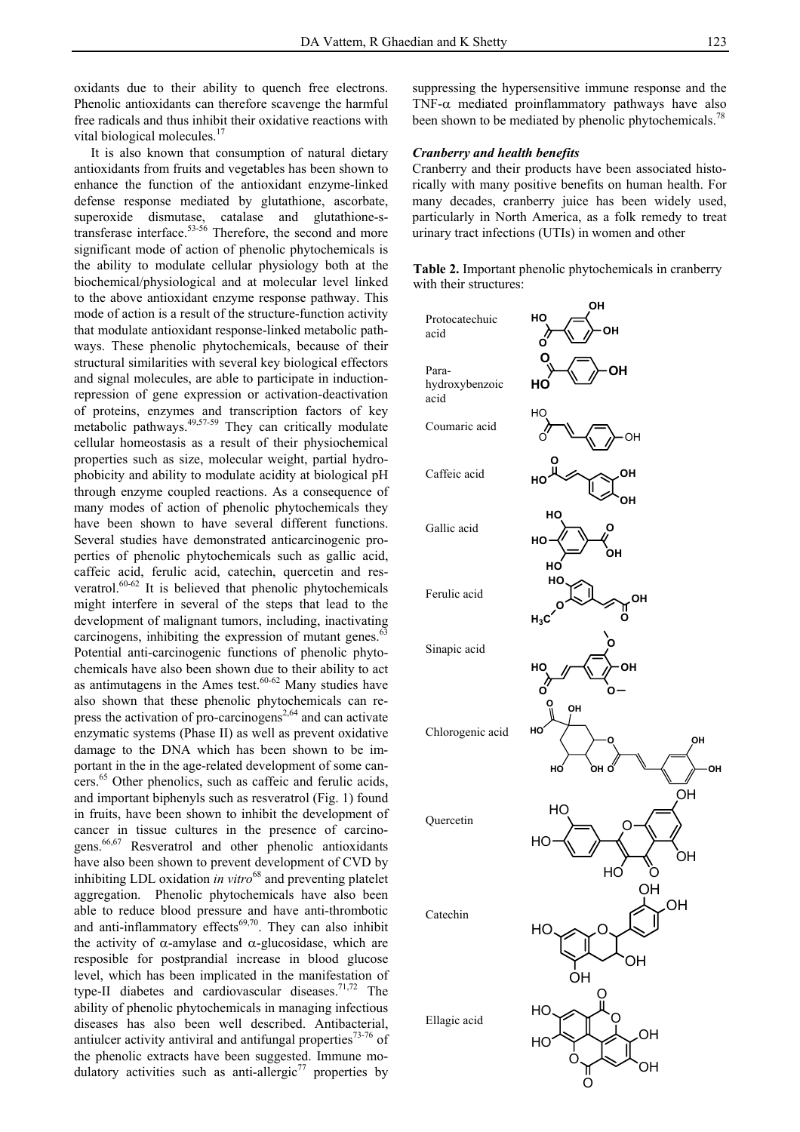oxidants due to their ability to quench free electrons. Phenolic antioxidants can therefore scavenge the harmful free radicals and thus inhibit their oxidative reactions with vital biological molecules.<sup>17</sup>

 It is also known that consumption of natural dietary antioxidants from fruits and vegetables has been shown to enhance the function of the antioxidant enzyme-linked defense response mediated by glutathione, ascorbate, superoxide dismutase, catalase and glutathione-stransferase interface.53-56 Therefore, the second and more significant mode of action of phenolic phytochemicals is the ability to modulate cellular physiology both at the biochemical/physiological and at molecular level linked to the above antioxidant enzyme response pathway. This mode of action is a result of the structure-function activity that modulate antioxidant response-linked metabolic pathways. These phenolic phytochemicals, because of their structural similarities with several key biological effectors and signal molecules, are able to participate in inductionrepression of gene expression or activation-deactivation of proteins, enzymes and transcription factors of key metabolic pathways.<sup>49,57-59</sup> They can critically modulate cellular homeostasis as a result of their physiochemical properties such as size, molecular weight, partial hydrophobicity and ability to modulate acidity at biological pH through enzyme coupled reactions. As a consequence of many modes of action of phenolic phytochemicals they have been shown to have several different functions. Several studies have demonstrated anticarcinogenic properties of phenolic phytochemicals such as gallic acid, caffeic acid, ferulic acid, catechin, quercetin and resveratrol. $60-62$  It is believed that phenolic phytochemicals might interfere in several of the steps that lead to the development of malignant tumors, including, inactivating carcinogens, inhibiting the expression of mutant genes. $\degree$ Potential anti-carcinogenic functions of phenolic phytochemicals have also been shown due to their ability to act as antimutagens in the Ames test. $60-62$  Many studies have also shown that these phenolic phytochemicals can repress the activation of pro-carcinogens<sup>2,64</sup> and can activate enzymatic systems (Phase II) as well as prevent oxidative damage to the DNA which has been shown to be important in the in the age-related development of some cancers.65 Other phenolics, such as caffeic and ferulic acids, and important biphenyls such as resveratrol (Fig. 1) found in fruits, have been shown to inhibit the development of cancer in tissue cultures in the presence of carcinogens.66,67 Resveratrol and other phenolic antioxidants have also been shown to prevent development of CVD by inhibiting LDL oxidation *in vitro*<sup>68</sup> and preventing platelet aggregation. Phenolic phytochemicals have also been able to reduce blood pressure and have anti-thrombotic and anti-inflammatory effects $69,70$ . They can also inhibit the activity of  $\alpha$ -amylase and  $\alpha$ -glucosidase, which are resposible for postprandial increase in blood glucose level, which has been implicated in the manifestation of type-II diabetes and cardiovascular diseases.<sup>71,72</sup> The ability of phenolic phytochemicals in managing infectious diseases has also been well described. Antibacterial, antiulcer activity antiviral and antifungal properties $73-76$  of the phenolic extracts have been suggested. Immune modulatory activities such as anti-allergic<sup>77</sup> properties by

suppressing the hypersensitive immune response and the TNF- $\alpha$  mediated proinflammatory pathways have also been shown to be mediated by phenolic phytochemicals.<sup>78</sup>

# *Cranberry and health benefits*

Cranberry and their products have been associated historically with many positive benefits on human health. For many decades, cranberry juice has been widely used, particularly in North America, as a folk remedy to treat urinary tract infections (UTIs) in women and other

**Table 2.** Important phenolic phytochemicals in cranberry with their structures:

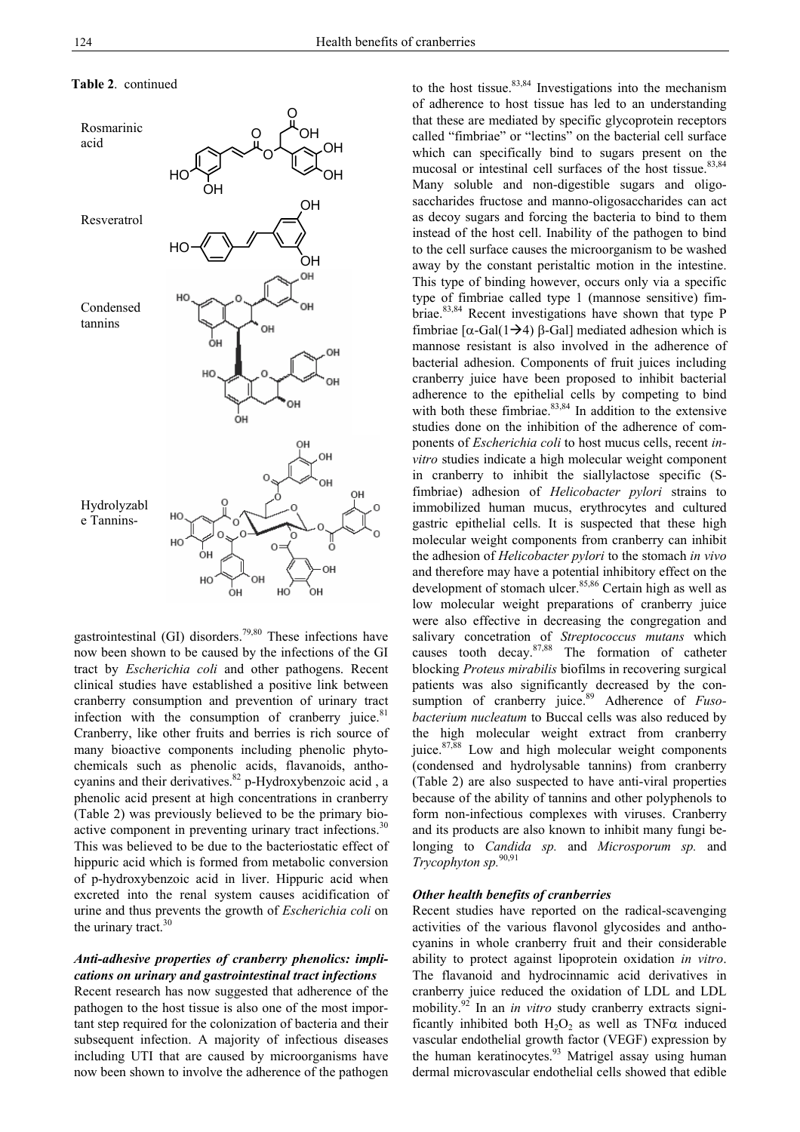#### **Table 2**. continued



gastrointestinal (GI) disorders.<sup>79,80</sup> These infections have now been shown to be caused by the infections of the GI tract by *Escherichia coli* and other pathogens. Recent clinical studies have established a positive link between cranberry consumption and prevention of urinary tract infection with the consumption of cranberry juice. $81$ Cranberry, like other fruits and berries is rich source of many bioactive components including phenolic phytochemicals such as phenolic acids, flavanoids, anthocyanins and their derivatives. $82$  p-Hydroxybenzoic acid, a phenolic acid present at high concentrations in cranberry (Table 2) was previously believed to be the primary bioactive component in preventing urinary tract infections.<sup>30</sup> This was believed to be due to the bacteriostatic effect of hippuric acid which is formed from metabolic conversion of p-hydroxybenzoic acid in liver. Hippuric acid when excreted into the renal system causes acidification of urine and thus prevents the growth of *Escherichia coli* on the urinary tract.<sup>30</sup>

# *Anti-adhesive properties of cranberry phenolics: implications on urinary and gastrointestinal tract infections*

Recent research has now suggested that adherence of the pathogen to the host tissue is also one of the most important step required for the colonization of bacteria and their subsequent infection. A majority of infectious diseases including UTI that are caused by microorganisms have now been shown to involve the adherence of the pathogen to the host tissue.<sup>83,84</sup> Investigations into the mechanism of adherence to host tissue has led to an understanding that these are mediated by specific glycoprotein receptors called "fimbriae" or "lectins" on the bacterial cell surface which can specifically bind to sugars present on the mucosal or intestinal cell surfaces of the host tissue.<sup>83,84</sup> Many soluble and non-digestible sugars and oligosaccharides fructose and manno-oligosaccharides can act as decoy sugars and forcing the bacteria to bind to them instead of the host cell. Inability of the pathogen to bind to the cell surface causes the microorganism to be washed away by the constant peristaltic motion in the intestine. This type of binding however, occurs only via a specific type of fimbriae called type 1 (mannose sensitive) fimbriae.83,84 Recent investigations have shown that type P fimbriae  $[α-Gal(1\rightarrow4) β-Gal]$  mediated adhesion which is mannose resistant is also involved in the adherence of bacterial adhesion. Components of fruit juices including cranberry juice have been proposed to inhibit bacterial adherence to the epithelial cells by competing to bind with both these fimbriae. $83,84$  In addition to the extensive studies done on the inhibition of the adherence of components of *Escherichia coli* to host mucus cells, recent *invitro* studies indicate a high molecular weight component in cranberry to inhibit the siallylactose specific (Sfimbriae) adhesion of *Helicobacter pylori* strains to immobilized human mucus, erythrocytes and cultured gastric epithelial cells. It is suspected that these high molecular weight components from cranberry can inhibit the adhesion of *Helicobacter pylori* to the stomach *in vivo*  and therefore may have a potential inhibitory effect on the development of stomach ulcer.<sup>85,86</sup> Certain high as well as low molecular weight preparations of cranberry juice were also effective in decreasing the congregation and salivary concetration of *Streptococcus mutans* which causes tooth decay.87,88 The formation of catheter blocking *Proteus mirabilis* biofilms in recovering surgical patients was also significantly decreased by the consumption of cranberry juice.<sup>89</sup> Adherence of *Fusobacterium nucleatum* to Buccal cells was also reduced by the high molecular weight extract from cranberry juice. $87,88$  Low and high molecular weight components (condensed and hydrolysable tannins) from cranberry (Table 2) are also suspected to have anti-viral properties because of the ability of tannins and other polyphenols to form non-infectious complexes with viruses. Cranberry and its products are also known to inhibit many fungi belonging to *Candida sp.* and *Microsporum sp.* and *Trycophyton sp.*90,91

### *Other health benefits of cranberries*

Recent studies have reported on the radical-scavenging activities of the various flavonol glycosides and anthocyanins in whole cranberry fruit and their considerable ability to protect against lipoprotein oxidation *in vitro*. The flavanoid and hydrocinnamic acid derivatives in cranberry juice reduced the oxidation of LDL and LDL mobility.92 In an *in vitro* study cranberry extracts significantly inhibited both  $H_2O_2$  as well as TNF $\alpha$  induced vascular endothelial growth factor (VEGF) expression by the human keratinocytes.<sup>93</sup> Matrigel assay using human dermal microvascular endothelial cells showed that edible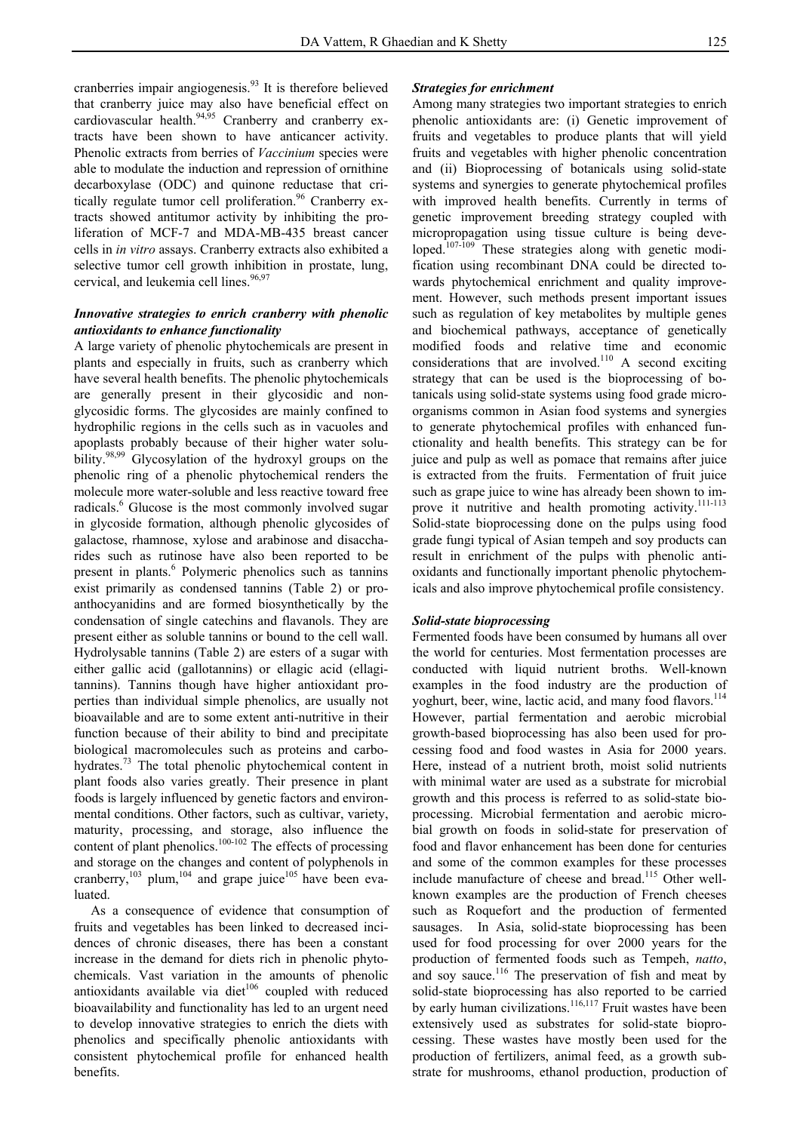cranberries impair angiogenesis.<sup>93</sup> It is therefore believed that cranberry juice may also have beneficial effect on cardiovascular health.<sup>94,95</sup> Cranberry and cranberry extracts have been shown to have anticancer activity. Phenolic extracts from berries of *Vaccinium* species were able to modulate the induction and repression of ornithine decarboxylase (ODC) and quinone reductase that critically regulate tumor cell proliferation.<sup>96</sup> Cranberry extracts showed antitumor activity by inhibiting the proliferation of MCF-7 and MDA-MB-435 breast cancer cells in *in vitro* assays. Cranberry extracts also exhibited a selective tumor cell growth inhibition in prostate, lung, cervical, and leukemia cell lines.<sup>96,97</sup>

# *Innovative strategies to enrich cranberry with phenolic antioxidants to enhance functionality*

A large variety of phenolic phytochemicals are present in plants and especially in fruits, such as cranberry which have several health benefits. The phenolic phytochemicals are generally present in their glycosidic and nonglycosidic forms. The glycosides are mainly confined to hydrophilic regions in the cells such as in vacuoles and apoplasts probably because of their higher water solubility.<sup>98,99</sup> Glycosylation of the hydroxyl groups on the phenolic ring of a phenolic phytochemical renders the molecule more water-soluble and less reactive toward free radicals.<sup>6</sup> Glucose is the most commonly involved sugar in glycoside formation, although phenolic glycosides of galactose, rhamnose, xylose and arabinose and disaccharides such as rutinose have also been reported to be present in plants.<sup>6</sup> Polymeric phenolics such as tannins exist primarily as condensed tannins (Table 2) or proanthocyanidins and are formed biosynthetically by the condensation of single catechins and flavanols. They are present either as soluble tannins or bound to the cell wall. Hydrolysable tannins (Table 2) are esters of a sugar with either gallic acid (gallotannins) or ellagic acid (ellagitannins). Tannins though have higher antioxidant properties than individual simple phenolics, are usually not bioavailable and are to some extent anti-nutritive in their function because of their ability to bind and precipitate biological macromolecules such as proteins and carbohydrates.<sup>73</sup> The total phenolic phytochemical content in plant foods also varies greatly. Their presence in plant foods is largely influenced by genetic factors and environmental conditions. Other factors, such as cultivar, variety, maturity, processing, and storage, also influence the content of plant phenolics.<sup>100-102</sup> The effects of processing and storage on the changes and content of polyphenols in cranberry,<sup>103</sup> plum,<sup>104</sup> and grape juice<sup>105</sup> have been evaluated.

 As a consequence of evidence that consumption of fruits and vegetables has been linked to decreased incidences of chronic diseases, there has been a constant increase in the demand for diets rich in phenolic phytochemicals. Vast variation in the amounts of phenolic antioxidants available via diet $106$  coupled with reduced bioavailability and functionality has led to an urgent need to develop innovative strategies to enrich the diets with phenolics and specifically phenolic antioxidants with consistent phytochemical profile for enhanced health benefits.

# *Strategies for enrichment*

Among many strategies two important strategies to enrich phenolic antioxidants are: (i) Genetic improvement of fruits and vegetables to produce plants that will yield fruits and vegetables with higher phenolic concentration and (ii) Bioprocessing of botanicals using solid-state systems and synergies to generate phytochemical profiles with improved health benefits. Currently in terms of genetic improvement breeding strategy coupled with micropropagation using tissue culture is being developed.<sup>107-109</sup> These strategies along with genetic modification using recombinant DNA could be directed towards phytochemical enrichment and quality improvement. However, such methods present important issues such as regulation of key metabolites by multiple genes and biochemical pathways, acceptance of genetically modified foods and relative time and economic considerations that are involved.<sup>110</sup> A second exciting strategy that can be used is the bioprocessing of botanicals using solid-state systems using food grade microorganisms common in Asian food systems and synergies to generate phytochemical profiles with enhanced functionality and health benefits. This strategy can be for juice and pulp as well as pomace that remains after juice is extracted from the fruits. Fermentation of fruit juice such as grape juice to wine has already been shown to improve it nutritive and health promoting activity.<sup>111-113</sup> Solid-state bioprocessing done on the pulps using food grade fungi typical of Asian tempeh and soy products can result in enrichment of the pulps with phenolic antioxidants and functionally important phenolic phytochemicals and also improve phytochemical profile consistency.

# *Solid-state bioprocessing*

Fermented foods have been consumed by humans all over the world for centuries. Most fermentation processes are conducted with liquid nutrient broths. Well-known examples in the food industry are the production of yoghurt, beer, wine, lactic acid, and many food flavors.<sup>114</sup> However, partial fermentation and aerobic microbial growth-based bioprocessing has also been used for processing food and food wastes in Asia for 2000 years. Here, instead of a nutrient broth, moist solid nutrients with minimal water are used as a substrate for microbial growth and this process is referred to as solid-state bioprocessing. Microbial fermentation and aerobic microbial growth on foods in solid-state for preservation of food and flavor enhancement has been done for centuries and some of the common examples for these processes include manufacture of cheese and bread.115 Other wellknown examples are the production of French cheeses such as Roquefort and the production of fermented sausages. In Asia, solid-state bioprocessing has been used for food processing for over 2000 years for the production of fermented foods such as Tempeh, *natto*, and soy sauce.<sup>116</sup> The preservation of fish and meat by solid-state bioprocessing has also reported to be carried by early human civilizations.<sup>116,117</sup> Fruit wastes have been extensively used as substrates for solid-state bioprocessing. These wastes have mostly been used for the production of fertilizers, animal feed, as a growth substrate for mushrooms, ethanol production, production of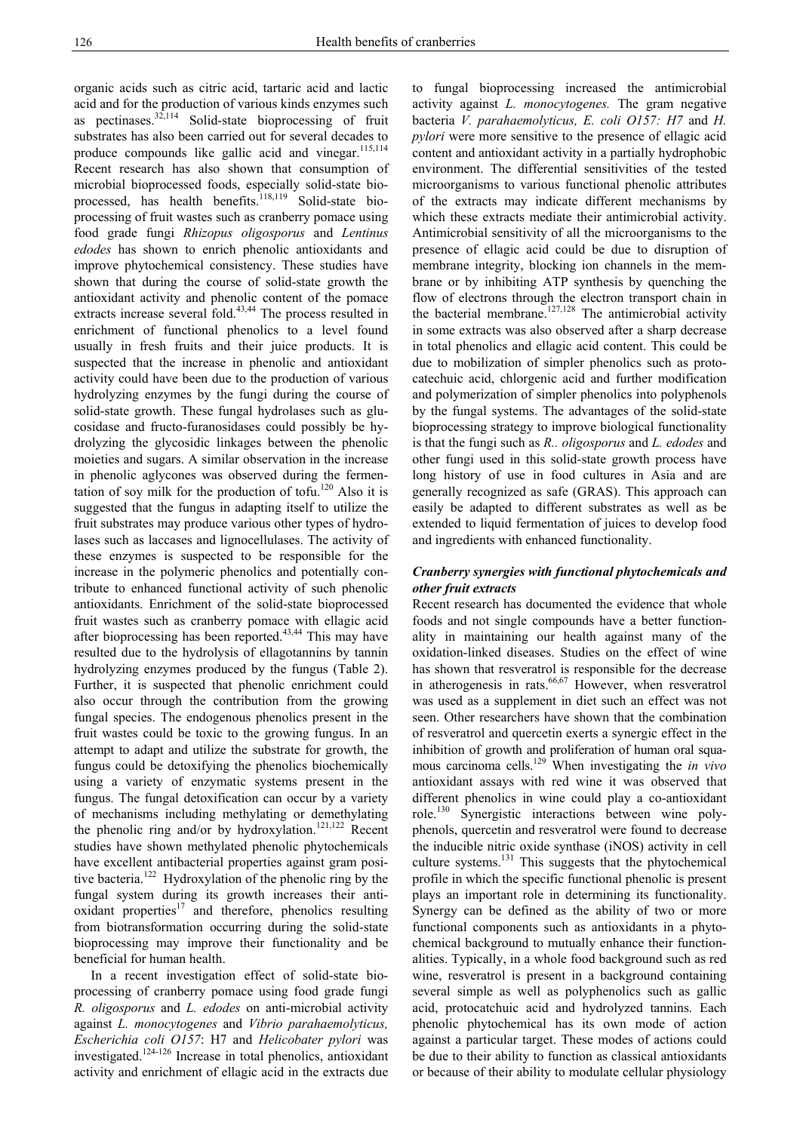organic acids such as citric acid, tartaric acid and lactic acid and for the production of various kinds enzymes such as pectinases. $32,114$  Solid-state bioprocessing of fruit substrates has also been carried out for several decades to produce compounds like gallic acid and vinegar.<sup>115,114</sup> Recent research has also shown that consumption of microbial bioprocessed foods, especially solid-state bioprocessed, has health benefits.<sup>118,119</sup> Solid-state bioprocessing of fruit wastes such as cranberry pomace using food grade fungi *Rhizopus oligosporus* and *Lentinus edodes* has shown to enrich phenolic antioxidants and improve phytochemical consistency. These studies have shown that during the course of solid-state growth the antioxidant activity and phenolic content of the pomace extracts increase several fold.<sup>43,44</sup> The process resulted in enrichment of functional phenolics to a level found usually in fresh fruits and their juice products. It is suspected that the increase in phenolic and antioxidant activity could have been due to the production of various hydrolyzing enzymes by the fungi during the course of solid-state growth. These fungal hydrolases such as glucosidase and fructo-furanosidases could possibly be hydrolyzing the glycosidic linkages between the phenolic moieties and sugars. A similar observation in the increase in phenolic aglycones was observed during the fermentation of soy milk for the production of tofu.<sup>120</sup> Also it is suggested that the fungus in adapting itself to utilize the fruit substrates may produce various other types of hydrolases such as laccases and lignocellulases. The activity of these enzymes is suspected to be responsible for the increase in the polymeric phenolics and potentially contribute to enhanced functional activity of such phenolic antioxidants. Enrichment of the solid-state bioprocessed fruit wastes such as cranberry pomace with ellagic acid after bioprocessing has been reported. $43,44$  This may have resulted due to the hydrolysis of ellagotannins by tannin hydrolyzing enzymes produced by the fungus (Table 2). Further, it is suspected that phenolic enrichment could also occur through the contribution from the growing fungal species. The endogenous phenolics present in the fruit wastes could be toxic to the growing fungus. In an attempt to adapt and utilize the substrate for growth, the fungus could be detoxifying the phenolics biochemically using a variety of enzymatic systems present in the fungus. The fungal detoxification can occur by a variety of mechanisms including methylating or demethylating the phenolic ring and/or by hydroxylation.<sup>121,122</sup> Recent studies have shown methylated phenolic phytochemicals have excellent antibacterial properties against gram positive bacteria.122 Hydroxylation of the phenolic ring by the fungal system during its growth increases their antioxidant properties $17$  and therefore, phenolics resulting from biotransformation occurring during the solid-state bioprocessing may improve their functionality and be beneficial for human health.

 In a recent investigation effect of solid-state bioprocessing of cranberry pomace using food grade fungi *R. oligosporus* and *L. edodes* on anti-microbial activity against *L. monocytogenes* and *Vibrio parahaemolyticus, Escherichia coli O157*: H7 and *Helicobater pylori* was investigated.124-126 Increase in total phenolics, antioxidant activity and enrichment of ellagic acid in the extracts due to fungal bioprocessing increased the antimicrobial activity against *L. monocytogenes.* The gram negative bacteria *V. parahaemolyticus, E. coli O157: H7* and *H. pylori* were more sensitive to the presence of ellagic acid content and antioxidant activity in a partially hydrophobic environment. The differential sensitivities of the tested microorganisms to various functional phenolic attributes of the extracts may indicate different mechanisms by which these extracts mediate their antimicrobial activity. Antimicrobial sensitivity of all the microorganisms to the presence of ellagic acid could be due to disruption of membrane integrity, blocking ion channels in the membrane or by inhibiting ATP synthesis by quenching the flow of electrons through the electron transport chain in the bacterial membrane.<sup>127,128</sup> The antimicrobial activity in some extracts was also observed after a sharp decrease in total phenolics and ellagic acid content. This could be due to mobilization of simpler phenolics such as protocatechuic acid, chlorgenic acid and further modification and polymerization of simpler phenolics into polyphenols by the fungal systems. The advantages of the solid-state bioprocessing strategy to improve biological functionality is that the fungi such as *R.. oligosporus* and *L. edodes* and other fungi used in this solid-state growth process have long history of use in food cultures in Asia and are generally recognized as safe (GRAS). This approach can easily be adapted to different substrates as well as be extended to liquid fermentation of juices to develop food and ingredients with enhanced functionality.

# *Cranberry synergies with functional phytochemicals and other fruit extracts*

Recent research has documented the evidence that whole foods and not single compounds have a better functionality in maintaining our health against many of the oxidation-linked diseases. Studies on the effect of wine has shown that resveratrol is responsible for the decrease in atherogenesis in rats. $66,67$  However, when resveratrol was used as a supplement in diet such an effect was not seen. Other researchers have shown that the combination of resveratrol and quercetin exerts a synergic effect in the inhibition of growth and proliferation of human oral squamous carcinoma cells.129 When investigating the *in vivo* antioxidant assays with red wine it was observed that different phenolics in wine could play a co-antioxidant role.130 Synergistic interactions between wine polyphenols, quercetin and resveratrol were found to decrease the inducible nitric oxide synthase (iNOS) activity in cell culture systems.131 This suggests that the phytochemical profile in which the specific functional phenolic is present plays an important role in determining its functionality. Synergy can be defined as the ability of two or more functional components such as antioxidants in a phytochemical background to mutually enhance their functionalities. Typically, in a whole food background such as red wine, resveratrol is present in a background containing several simple as well as polyphenolics such as gallic acid, protocatchuic acid and hydrolyzed tannins. Each phenolic phytochemical has its own mode of action against a particular target. These modes of actions could be due to their ability to function as classical antioxidants or because of their ability to modulate cellular physiology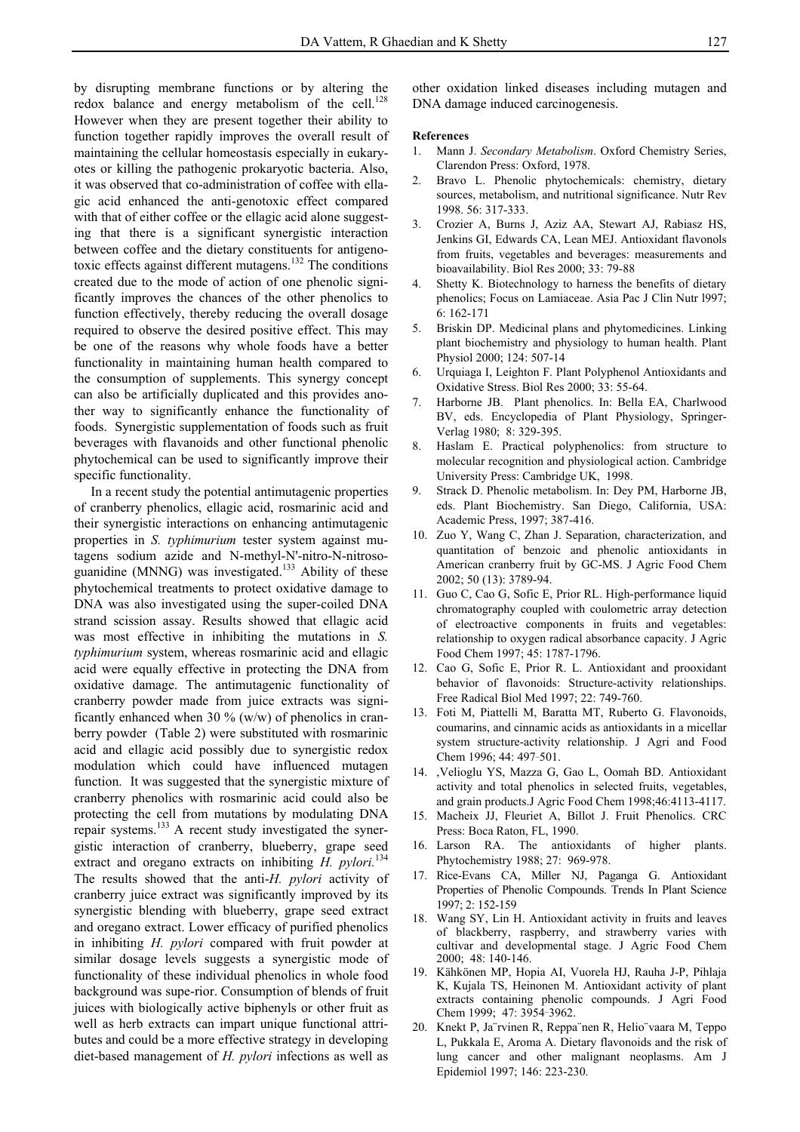by disrupting membrane functions or by altering the redox balance and energy metabolism of the cell.<sup>128</sup> However when they are present together their ability to function together rapidly improves the overall result of maintaining the cellular homeostasis especially in eukaryotes or killing the pathogenic prokaryotic bacteria. Also, it was observed that co-administration of coffee with ellagic acid enhanced the anti-genotoxic effect compared with that of either coffee or the ellagic acid alone suggesting that there is a significant synergistic interaction between coffee and the dietary constituents for antigenotoxic effects against different mutagens.<sup>132</sup> The conditions created due to the mode of action of one phenolic significantly improves the chances of the other phenolics to function effectively, thereby reducing the overall dosage required to observe the desired positive effect. This may be one of the reasons why whole foods have a better functionality in maintaining human health compared to the consumption of supplements. This synergy concept

can also be artificially duplicated and this provides another way to significantly enhance the functionality of foods. Synergistic supplementation of foods such as fruit beverages with flavanoids and other functional phenolic phytochemical can be used to significantly improve their specific functionality.

 In a recent study the potential antimutagenic properties of cranberry phenolics, ellagic acid, rosmarinic acid and their synergistic interactions on enhancing antimutagenic properties in *S. typhimurium* tester system against mutagens sodium azide and N-methyl-N'-nitro-N-nitrosoguanidine (MNNG) was investigated.<sup>133</sup> Ability of these phytochemical treatments to protect oxidative damage to DNA was also investigated using the super-coiled DNA strand scission assay. Results showed that ellagic acid was most effective in inhibiting the mutations in *S. typhimurium* system, whereas rosmarinic acid and ellagic acid were equally effective in protecting the DNA from oxidative damage. The antimutagenic functionality of cranberry powder made from juice extracts was significantly enhanced when 30  $\%$  (w/w) of phenolics in cranberry powder (Table 2) were substituted with rosmarinic acid and ellagic acid possibly due to synergistic redox modulation which could have influenced mutagen function. It was suggested that the synergistic mixture of cranberry phenolics with rosmarinic acid could also be protecting the cell from mutations by modulating DNA repair systems.<sup>133</sup> A recent study investigated the synergistic interaction of cranberry, blueberry, grape seed extract and oregano extracts on inhibiting *H. pylori.*<sup>134</sup> The results showed that the anti-*H. pylori* activity of cranberry juice extract was significantly improved by its synergistic blending with blueberry, grape seed extract and oregano extract. Lower efficacy of purified phenolics in inhibiting *H. pylori* compared with fruit powder at similar dosage levels suggests a synergistic mode of functionality of these individual phenolics in whole food background was supe-rior. Consumption of blends of fruit juices with biologically active biphenyls or other fruit as well as herb extracts can impart unique functional attributes and could be a more effective strategy in developing diet-based management of *H. pylori* infections as well as

other oxidation linked diseases including mutagen and DNA damage induced carcinogenesis.

#### **References**

- 1. Mann J. *Secondary Metabolism*. Oxford Chemistry Series, Clarendon Press: Oxford, 1978.
- 2. Bravo L. Phenolic phytochemicals: chemistry, dietary sources, metabolism, and nutritional significance. Nutr Rev 1998. 56: 317-333.
- 3. Crozier A, Burns J, Aziz AA, Stewart AJ, Rabiasz HS, Jenkins GI, Edwards CA, Lean MEJ. Antioxidant flavonols from fruits, vegetables and beverages: measurements and bioavailability. Biol Res 2000; 33: 79-88
- 4. Shetty K. Biotechnology to harness the benefits of dietary phenolics; Focus on Lamiaceae. Asia Pac J Clin Nutr l997; 6: 162-171
- 5. Briskin DP. Medicinal plans and phytomedicines. Linking plant biochemistry and physiology to human health. Plant Physiol 2000; 124: 507-14
- 6. Urquiaga I, Leighton F. Plant Polyphenol Antioxidants and Oxidative Stress. Biol Res 2000; 33: 55-64.
- 7. Harborne JB. Plant phenolics. In: Bella EA, Charlwood BV, eds. Encyclopedia of Plant Physiology, Springer-Verlag 1980; 8: 329-395.
- 8. Haslam E. Practical polyphenolics: from structure to molecular recognition and physiological action. Cambridge University Press: Cambridge UK, 1998.
- 9. Strack D. Phenolic metabolism. In: Dey PM, Harborne JB, eds. Plant Biochemistry. San Diego, California, USA: Academic Press, 1997; 387-416.
- 10. Zuo Y, Wang C, Zhan J. Separation, characterization, and quantitation of benzoic and phenolic antioxidants in American cranberry fruit by GC-MS. J Agric Food Chem 2002; 50 (13): 3789-94.
- 11. Guo C, Cao G, Sofic E, Prior RL. High-performance liquid chromatography coupled with coulometric array detection of electroactive components in fruits and vegetables: relationship to oxygen radical absorbance capacity. J Agric Food Chem 1997; 45: 1787-1796.
- 12. Cao G, Sofic E, Prior R. L. Antioxidant and prooxidant behavior of flavonoids: Structure-activity relationships. Free Radical Biol Med 1997; 22: 749-760.
- 13. Foti M, Piattelli M, Baratta MT, Ruberto G. Flavonoids, coumarins, and cinnamic acids as antioxidants in a micellar system structure-activity relationship. J Agri and Food Chem 1996; 44: 497-501.
- 14. ,Velioglu YS, Mazza G, Gao L, Oomah BD. Antioxidant activity and total phenolics in selected fruits, vegetables, and grain products.J Agric Food Chem 1998;46:4113-4117.
- 15. Macheix JJ, Fleuriet A, Billot J. Fruit Phenolics. CRC Press: Boca Raton, FL, 1990.
- 16. Larson RA. The antioxidants of higher plants. Phytochemistry 1988; 27: 969-978.
- 17. Rice-Evans CA, Miller NJ, Paganga G. Antioxidant Properties of Phenolic Compounds. Trends In Plant Science 1997; 2: 152-159
- 18. Wang SY, Lin H. Antioxidant activity in fruits and leaves of blackberry, raspberry, and strawberry varies with cultivar and developmental stage. J Agric Food Chem 2000; 48: 140-146.
- 19. Kähkönen MP, Hopia AI, Vuorela HJ, Rauha J-P, Pihlaja K, Kujala TS, Heinonen M. Antioxidant activity of plant extracts containing phenolic compounds. J Agri Food Chem 1999; 47: 3954-3962.
- 20. Knekt P, Ja¨rvinen R, Reppa¨nen R, Helio¨vaara M, Teppo L, Pukkala E, Aroma A. Dietary flavonoids and the risk of lung cancer and other malignant neoplasms. Am J Epidemiol 1997; 146: 223-230.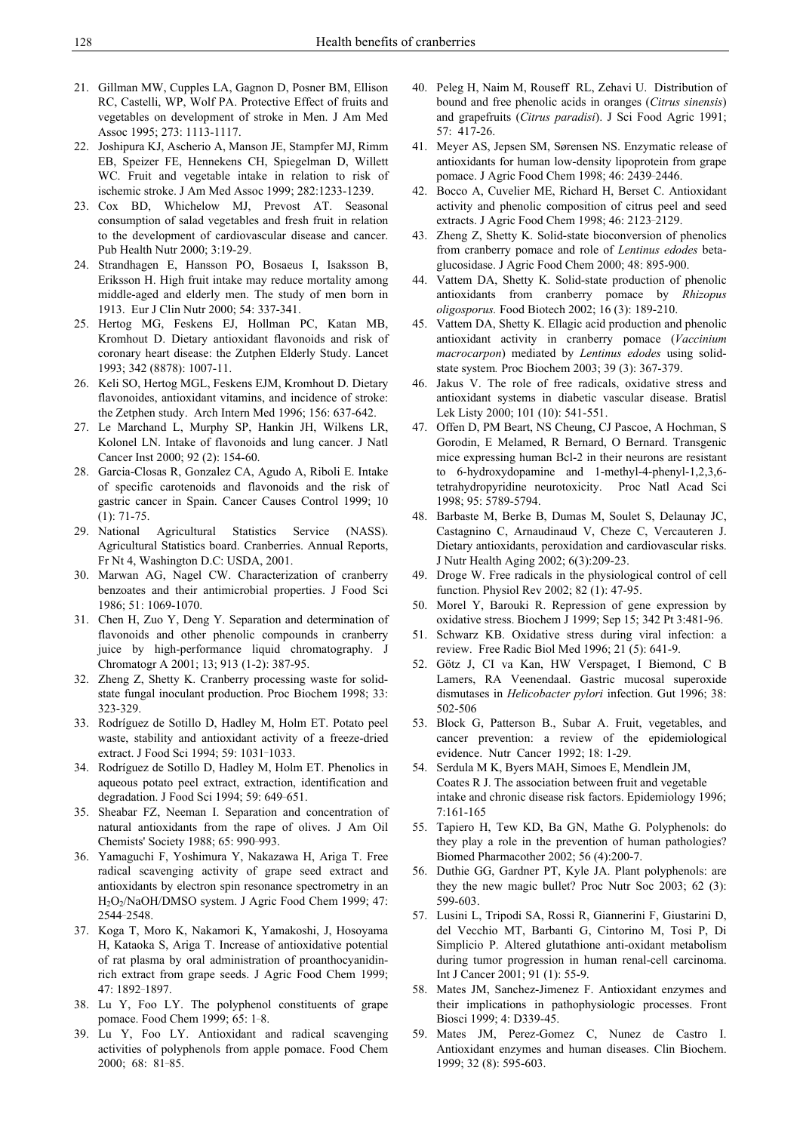- 21. Gillman MW, Cupples LA, Gagnon D, Posner BM, Ellison RC, Castelli, WP, Wolf PA. Protective Effect of fruits and vegetables on development of stroke in Men. J Am Med Assoc 1995; 273: 1113-1117.
- 22. Joshipura KJ, Ascherio A, Manson JE, Stampfer MJ, Rimm EB, Speizer FE, Hennekens CH, Spiegelman D, Willett WC. Fruit and vegetable intake in relation to risk of ischemic stroke. J Am Med Assoc 1999; 282:1233-1239.
- 23. Cox BD, Whichelow MJ, Prevost AT. Seasonal consumption of salad vegetables and fresh fruit in relation to the development of cardiovascular disease and cancer. Pub Health Nutr 2000; 3:19-29.
- 24. Strandhagen E, Hansson PO, Bosaeus I, Isaksson B, Eriksson H. High fruit intake may reduce mortality among middle-aged and elderly men. The study of men born in 1913. Eur J Clin Nutr 2000; 54: 337-341.
- 25. Hertog MG, Feskens EJ, Hollman PC, Katan MB, Kromhout D. Dietary antioxidant flavonoids and risk of coronary heart disease: the Zutphen Elderly Study. Lancet 1993; 342 (8878): 1007-11.
- 26. Keli SO, Hertog MGL, Feskens EJM, Kromhout D. Dietary flavonoides, antioxidant vitamins, and incidence of stroke: the Zetphen study. Arch Intern Med 1996; 156: 637-642.
- 27. Le Marchand L, Murphy SP, Hankin JH, Wilkens LR, Kolonel LN. Intake of flavonoids and lung cancer. J Natl Cancer Inst 2000; 92 (2): 154-60.
- 28. Garcia-Closas R, Gonzalez CA, Agudo A, Riboli E. Intake of specific carotenoids and flavonoids and the risk of gastric cancer in Spain. Cancer Causes Control 1999; 10 (1): 71-75.
- 29. National Agricultural Statistics Service (NASS). Agricultural Statistics board. Cranberries. Annual Reports, Fr Nt 4, Washington D.C: USDA, 2001.
- 30. Marwan AG, Nagel CW. Characterization of cranberry benzoates and their antimicrobial properties. J Food Sci 1986; 51: 1069-1070.
- 31. Chen H, Zuo Y, Deng Y. Separation and determination of flavonoids and other phenolic compounds in cranberry juice by high-performance liquid chromatography. J Chromatogr A 2001; 13; 913 (1-2): 387-95.
- 32. Zheng Z, Shetty K. Cranberry processing waste for solidstate fungal inoculant production. Proc Biochem 1998; 33: 323-329.
- 33. Rodríguez de Sotillo D, Hadley M, Holm ET. Potato peel waste, stability and antioxidant activity of a freeze-dried extract. J Food Sci 1994; 59: 1031-1033.
- 34. Rodríguez de Sotillo D, Hadley M, Holm ET. Phenolics in aqueous potato peel extract, extraction, identification and degradation. J Food Sci 1994; 59: 649-651.
- 35. Sheabar FZ, Neeman I. Separation and concentration of natural antioxidants from the rape of olives. J Am Oil Chemists' Society 1988; 65: 990-993.
- 36. Yamaguchi F, Yoshimura Y, Nakazawa H, Ariga T. Free radical scavenging activity of grape seed extract and antioxidants by electron spin resonance spectrometry in an H2O2/NaOH/DMSO system. J Agric Food Chem 1999; 47: 2544¯2548.
- 37. Koga T, Moro K, Nakamori K, Yamakoshi, J, Hosoyama H, Kataoka S, Ariga T. Increase of antioxidative potential of rat plasma by oral administration of proanthocyanidinrich extract from grape seeds. J Agric Food Chem 1999; 47: 1892¯1897.
- 38. Lu Y, Foo LY. The polyphenol constituents of grape pomace. Food Chem 1999; 65: 1-8.
- 39. Lu Y, Foo LY. Antioxidant and radical scavenging activities of polyphenols from apple pomace. Food Chem 2000; 68: 81¯85.
- 40. Peleg H, Naim M, Rouseff RL, Zehavi U. Distribution of bound and free phenolic acids in oranges (*Citrus sinensis*) and grapefruits (*Citrus paradisi*). J Sci Food Agric 1991; 57: 417-26.
- 41. Meyer AS, Jepsen SM, Sørensen NS. Enzymatic release of antioxidants for human low-density lipoprotein from grape pomace. J Agric Food Chem 1998; 46: 2439-2446.
- 42. Bocco A, Cuvelier ME, Richard H, Berset C. Antioxidant activity and phenolic composition of citrus peel and seed extracts. J Agric Food Chem 1998; 46: 2123-2129.
- 43. Zheng Z, Shetty K. Solid-state bioconversion of phenolics from cranberry pomace and role of *Lentinus edodes* betaglucosidase. J Agric Food Chem 2000; 48: 895-900.
- 44. Vattem DA, Shetty K. Solid-state production of phenolic antioxidants from cranberry pomace by *Rhizopus oligosporus.* Food Biotech 2002; 16 (3): 189-210.
- 45. Vattem DA, Shetty K. Ellagic acid production and phenolic antioxidant activity in cranberry pomace (*Vaccinium macrocarpon*) mediated by *Lentinus edodes* using solidstate system*.* Proc Biochem 2003; 39 (3): 367-379.
- 46. Jakus V. The role of free radicals, oxidative stress and antioxidant systems in diabetic vascular disease. Bratisl Lek Listy 2000; 101 (10): 541-551.
- 47. Offen D, PM Beart, NS Cheung, CJ Pascoe, A Hochman, S Gorodin, E Melamed, R Bernard, O Bernard. Transgenic mice expressing human Bcl-2 in their neurons are resistant to 6-hydroxydopamine and 1-methyl-4-phenyl-1,2,3,6 tetrahydropyridine neurotoxicity. Proc Natl Acad Sci 1998; 95: 5789-5794.
- 48. Barbaste M, Berke B, Dumas M, Soulet S, Delaunay JC, Castagnino C, Arnaudinaud V, Cheze C, Vercauteren J. Dietary antioxidants, peroxidation and cardiovascular risks. J Nutr Health Aging 2002; 6(3):209-23.
- 49. Droge W. Free radicals in the physiological control of cell function. Physiol Rev 2002; 82 (1): 47-95.
- 50. Morel Y, Barouki R. Repression of gene expression by oxidative stress. Biochem J 1999; Sep 15; 342 Pt 3:481-96.
- 51. Schwarz KB. Oxidative stress during viral infection: a review. Free Radic Biol Med 1996; 21 (5): 641-9.
- 52. Götz J, CI va Kan, HW Verspaget, I Biemond, C B Lamers, RA Veenendaal. Gastric mucosal superoxide dismutases in *Helicobacter pylori* infection. Gut 1996; 38: 502-506
- 53. Block G, Patterson B., Subar A. Fruit, vegetables, and cancer prevention: a review of the epidemiological evidence. Nutr Cancer 1992; 18: 1-29.
- 54. Serdula M K, Byers MAH, Simoes E, Mendlein JM, Coates R J. The association between fruit and vegetable intake and chronic disease risk factors. Epidemiology 1996; 7:161-165
- 55. Tapiero H, Tew KD, Ba GN, Mathe G. Polyphenols: do they play a role in the prevention of human pathologies? Biomed Pharmacother 2002; 56 (4):200-7.
- 56. Duthie GG, Gardner PT, Kyle JA. Plant polyphenols: are they the new magic bullet? Proc Nutr Soc 2003; 62 (3): 599-603.
- 57. Lusini L, Tripodi SA, Rossi R, Giannerini F, Giustarini D, del Vecchio MT, Barbanti G, Cintorino M, Tosi P, Di Simplicio P. Altered glutathione anti-oxidant metabolism during tumor progression in human renal-cell carcinoma. Int J Cancer 2001; 91 (1): 55-9.
- 58. Mates JM, Sanchez-Jimenez F. Antioxidant enzymes and their implications in pathophysiologic processes. Front Biosci 1999; 4: D339-45.
- 59. Mates JM, Perez-Gomez C, Nunez de Castro I. Antioxidant enzymes and human diseases. Clin Biochem. 1999; 32 (8): 595-603.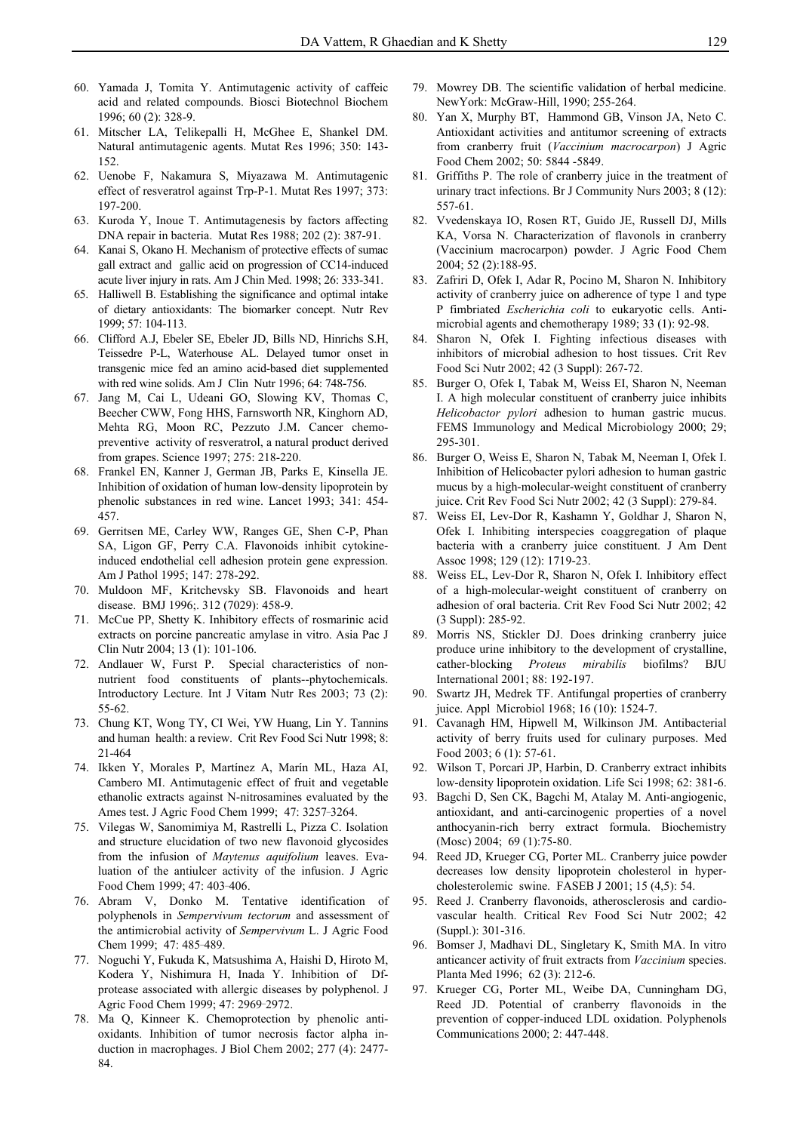- 60. Yamada J, Tomita Y. Antimutagenic activity of caffeic acid and related compounds. Biosci Biotechnol Biochem 1996; 60 (2): 328-9.
- 61. Mitscher LA, Telikepalli H, McGhee E, Shankel DM. Natural antimutagenic agents. Mutat Res 1996; 350: 143- 152.
- 62. Uenobe F, Nakamura S, Miyazawa M. Antimutagenic effect of resveratrol against Trp-P-1. Mutat Res 1997; 373: 197-200.
- 63. Kuroda Y, Inoue T. Antimutagenesis by factors affecting DNA repair in bacteria. Mutat Res 1988; 202 (2): 387-91.
- 64. Kanai S, Okano H. Mechanism of protective effects of sumac gall extract and gallic acid on progression of CC14-induced acute liver injury in rats. Am J Chin Med. 1998; 26: 333-341.
- 65. Halliwell B. Establishing the significance and optimal intake of dietary antioxidants: The biomarker concept. Nutr Rev 1999; 57: 104-113.
- 66. Clifford A.J, Ebeler SE, Ebeler JD, Bills ND, Hinrichs S.H, Teissedre P-L, Waterhouse AL. Delayed tumor onset in transgenic mice fed an amino acid-based diet supplemented with red wine solids. Am J Clin Nutr 1996; 64: 748-756.
- 67. Jang M, Cai L, Udeani GO, Slowing KV, Thomas C, Beecher CWW, Fong HHS, Farnsworth NR, Kinghorn AD, Mehta RG, Moon RC, Pezzuto J.M. Cancer chemopreventive activity of resveratrol, a natural product derived from grapes. Science 1997; 275: 218-220.
- 68. Frankel EN, Kanner J, German JB, Parks E, Kinsella JE. Inhibition of oxidation of human low-density lipoprotein by phenolic substances in red wine. Lancet 1993; 341: 454- 457.
- 69. Gerritsen ME, Carley WW, Ranges GE, Shen C-P, Phan SA, Ligon GF, Perry C.A. Flavonoids inhibit cytokineinduced endothelial cell adhesion protein gene expression. Am J Pathol 1995; 147: 278-292.
- 70. Muldoon MF, Kritchevsky SB. Flavonoids and heart disease. BMJ 1996;. 312 (7029): 458-9.
- 71. McCue PP, Shetty K. Inhibitory effects of rosmarinic acid extracts on porcine pancreatic amylase in vitro. Asia Pac J Clin Nutr 2004; 13 (1): 101-106.
- 72. Andlauer W, Furst P. Special characteristics of nonnutrient food constituents of plants--phytochemicals. Introductory Lecture. Int J Vitam Nutr Res 2003; 73 (2): 55-62.
- 73. Chung KT, Wong TY, CI Wei, YW Huang, Lin Y. Tannins and human health: a review. Crit Rev Food Sci Nutr 1998; 8: 21-464
- 74. Ikken Y, Morales P, Martínez A, Marín ML, Haza AI, Cambero MI. Antimutagenic effect of fruit and vegetable ethanolic extracts against N-nitrosamines evaluated by the Ames test. J Agric Food Chem 1999; 47: 3257-3264.
- 75. Vilegas W, Sanomimiya M, Rastrelli L, Pizza C. Isolation and structure elucidation of two new flavonoid glycosides from the infusion of *Maytenus aquifolium* leaves. Evaluation of the antiulcer activity of the infusion. J Agric Food Chem 1999; 47: 403-406.
- 76. Abram V, Donko M. Tentative identification of polyphenols in *Sempervivum tectorum* and assessment of the antimicrobial activity of *Sempervivum* L. J Agric Food Chem 1999; 47: 485-489.
- 77. Noguchi Y, Fukuda K, Matsushima A, Haishi D, Hiroto M, Kodera Y, Nishimura H, Inada Y. Inhibition of Dfprotease associated with allergic diseases by polyphenol. J Agric Food Chem 1999; 47: 2969-2972.
- 78. Ma Q, Kinneer K. Chemoprotection by phenolic antioxidants. Inhibition of tumor necrosis factor alpha induction in macrophages. J Biol Chem 2002; 277 (4): 2477- 84.
- 79. Mowrey DB. The scientific validation of herbal medicine. NewYork: McGraw-Hill, 1990; 255-264.
- 80. Yan X, Murphy BT, Hammond GB, Vinson JA, Neto C. Antioxidant activities and antitumor screening of extracts from cranberry fruit (*Vaccinium macrocarpon*) J Agric Food Chem 2002; 50: 5844 -5849.
- 81. Griffiths P. The role of cranberry juice in the treatment of urinary tract infections. Br J Community Nurs 2003; 8 (12): 557-61.
- 82. Vvedenskaya IO, Rosen RT, Guido JE, Russell DJ, Mills KA, Vorsa N. Characterization of flavonols in cranberry (Vaccinium macrocarpon) powder. J Agric Food Chem 2004; 52 (2):188-95.
- 83. Zafriri D, Ofek I, Adar R, Pocino M, Sharon N. Inhibitory activity of cranberry juice on adherence of type 1 and type P fimbriated *Escherichia coli* to eukaryotic cells. Antimicrobial agents and chemotherapy 1989; 33 (1): 92-98.
- 84. Sharon N, Ofek I. Fighting infectious diseases with inhibitors of microbial adhesion to host tissues. Crit Rev Food Sci Nutr 2002; 42 (3 Suppl): 267-72.
- 85. Burger O, Ofek I, Tabak M, Weiss EI, Sharon N, Neeman I. A high molecular constituent of cranberry juice inhibits *Helicobactor pylori* adhesion to human gastric mucus. FEMS Immunology and Medical Microbiology 2000; 29; 295-301.
- 86. Burger O, Weiss E, Sharon N, Tabak M, Neeman I, Ofek I. Inhibition of Helicobacter pylori adhesion to human gastric mucus by a high-molecular-weight constituent of cranberry juice. Crit Rev Food Sci Nutr 2002; 42 (3 Suppl): 279-84.
- 87. Weiss EI, Lev-Dor R, Kashamn Y, Goldhar J, Sharon N, Ofek I. Inhibiting interspecies coaggregation of plaque bacteria with a cranberry juice constituent. J Am Dent Assoc 1998; 129 (12): 1719-23.
- 88. Weiss EL, Lev-Dor R, Sharon N, Ofek I. Inhibitory effect of a high-molecular-weight constituent of cranberry on adhesion of oral bacteria. Crit Rev Food Sci Nutr 2002; 42 (3 Suppl): 285-92.
- 89. Morris NS, Stickler DJ. Does drinking cranberry juice produce urine inhibitory to the development of crystalline, cather-blocking *Proteus mirabilis* biofilms? BJU International 2001; 88: 192-197.
- 90. Swartz JH, Medrek TF. Antifungal properties of cranberry juice. Appl Microbiol 1968; 16 (10): 1524-7.
- 91. Cavanagh HM, Hipwell M, Wilkinson JM. Antibacterial activity of berry fruits used for culinary purposes. Med Food 2003; 6 (1): 57-61.
- 92. Wilson T, Porcari JP, Harbin, D. Cranberry extract inhibits low-density lipoprotein oxidation. Life Sci 1998; 62: 381-6.
- 93. Bagchi D, Sen CK, Bagchi M, Atalay M. Anti-angiogenic, antioxidant, and anti-carcinogenic properties of a novel anthocyanin-rich berry extract formula. Biochemistry (Mosc) 2004; 69 (1):75-80.
- 94. Reed JD, Krueger CG, Porter ML. Cranberry juice powder decreases low density lipoprotein cholesterol in hypercholesterolemic swine. FASEB J 2001; 15 (4,5): 54.
- 95. Reed J. Cranberry flavonoids, atherosclerosis and cardiovascular health. Critical Rev Food Sci Nutr 2002; 42 (Suppl.): 301-316.
- 96. Bomser J, Madhavi DL, Singletary K, Smith MA. In vitro anticancer activity of fruit extracts from *Vaccinium* species. Planta Med 1996; 62 (3): 212-6.
- 97. Krueger CG, Porter ML, Weibe DA, Cunningham DG, Reed JD. Potential of cranberry flavonoids in the prevention of copper-induced LDL oxidation. Polyphenols Communications 2000; 2: 447-448.